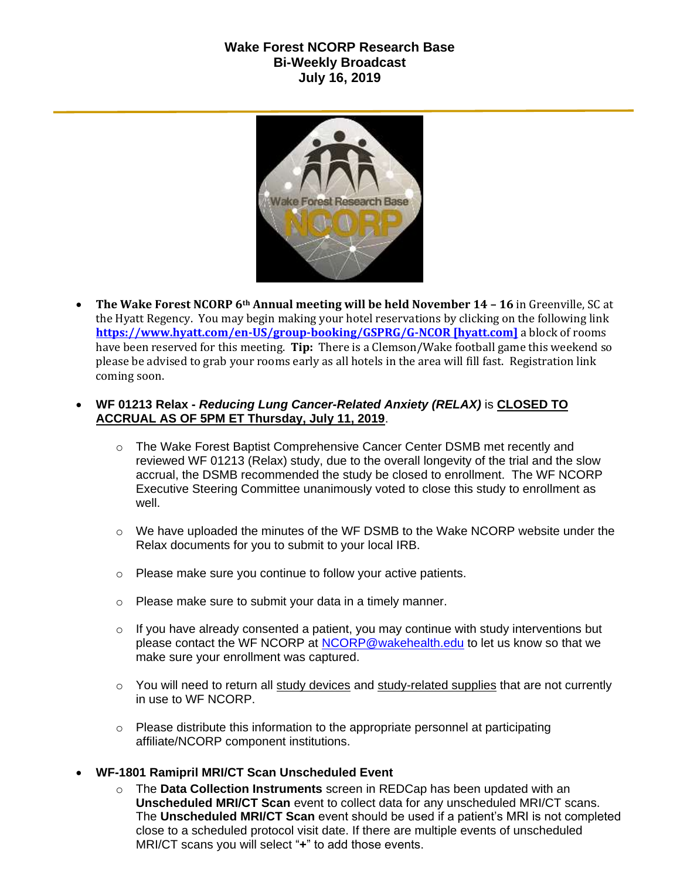## **Wake Forest NCORP Research Base Bi-Weekly Broadcast July 16, 2019**



 **The Wake Forest NCORP 6th Annual meeting will be held November 14 – 16** in Greenville, SC at the Hyatt Regency. You may begin making your hotel reservations by clicking on the following link **[https://www.hyatt.com/en-US/group-booking/GSPRG/G-NCOR \[hyatt.com\]](https://urldefense.proofpoint.com/v2/url?u=https-3A__www.hyatt.com_en-2DUS_group-2Dbooking_GSPRG_G-2DNCOR&d=DwMF-g&c=yzGiX0CSJAqkDTmENO9LmP6KfPQitNABR9M66gsTb5w&r=TnCUknn7SuuKiZZ9xYiqqVGRRW44n91mFcfkV4OTZdE&m=nMl5QpnTqZImfgmQv3WVuZH_olwfmfBEebqvflDwGVA&s=Jokja0iM_Zy6iN0skc6kDqNVUzyUA2YmjssaQyPU1jY&e=)** a block of rooms have been reserved for this meeting. **Tip:** There is a Clemson/Wake football game this weekend so please be advised to grab your rooms early as all hotels in the area will fill fast. Registration link coming soon.

## **WF 01213 Relax -** *Reducing Lung Cancer-Related Anxiety (RELAX)* is **CLOSED TO ACCRUAL AS OF 5PM ET Thursday, July 11, 2019**.

- o The Wake Forest Baptist Comprehensive Cancer Center DSMB met recently and reviewed WF 01213 (Relax) study, due to the overall longevity of the trial and the slow accrual, the DSMB recommended the study be closed to enrollment. The WF NCORP Executive Steering Committee unanimously voted to close this study to enrollment as well.
- $\circ$  We have uploaded the minutes of the WF DSMB to the Wake NCORP website under the Relax documents for you to submit to your local IRB.
- o Please make sure you continue to follow your active patients.
- o Please make sure to submit your data in a timely manner.
- $\circ$  If you have already consented a patient, you may continue with study interventions but please contact the WF NCORP at [NCORP@wakehealth.edu](mailto:NCORP@wakehealth.edu) to let us know so that we make sure your enrollment was captured.
- $\circ$  You will need to return all study devices and study-related supplies that are not currently in use to WF NCORP.
- $\circ$  Please distribute this information to the appropriate personnel at participating affiliate/NCORP component institutions.

## **WF-1801 Ramipril MRI/CT Scan Unscheduled Event**

o The **Data Collection Instruments** screen in REDCap has been updated with an **Unscheduled MRI/CT Scan** event to collect data for any unscheduled MRI/CT scans. The **Unscheduled MRI/CT Scan** event should be used if a patient's MRI is not completed close to a scheduled protocol visit date. If there are multiple events of unscheduled MRI/CT scans you will select "**+**" to add those events.